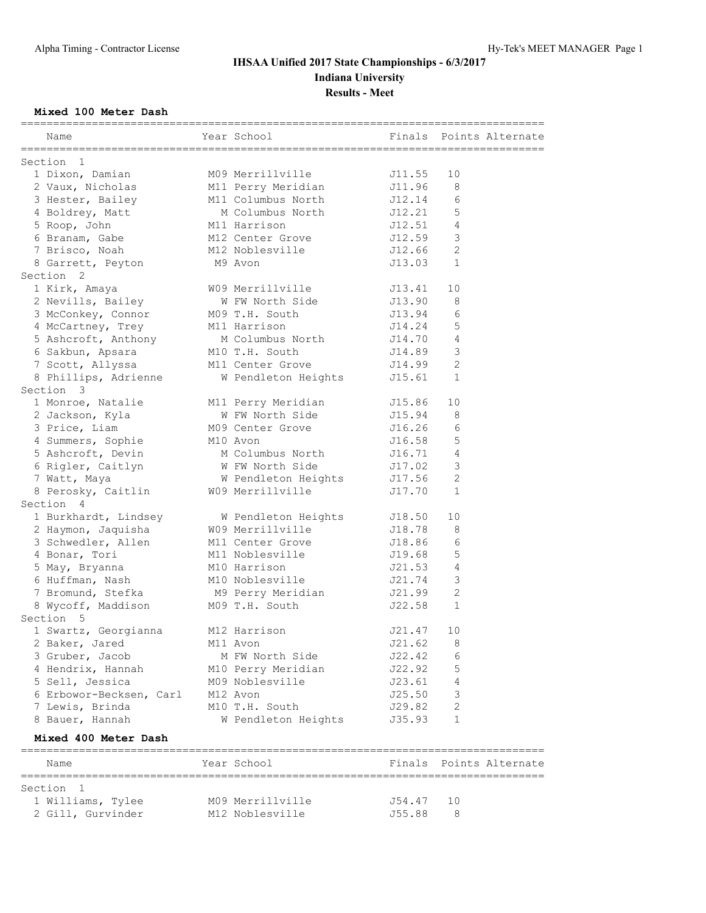### **Mixed 100 Meter Dash**

|                      | Name                                                                 | Year School                                | Finals |               | Points Alternate |
|----------------------|----------------------------------------------------------------------|--------------------------------------------|--------|---------------|------------------|
|                      |                                                                      |                                            |        |               |                  |
| Section 1            |                                                                      |                                            |        |               |                  |
|                      | 1 Dixon, Damian                                                      | M09 Merrillville                           | J11.55 | 10            |                  |
|                      | 2 Vaux, Nicholas                                                     | M11 Perry Meridian                         | J11.96 | 8             |                  |
|                      | 3 Hester, Bailey                                                     | M11 Columbus North                         | J12.14 | 6             |                  |
|                      | 4 Boldrey, Matt                                                      | M Columbus North                           | J12.21 | 5             |                  |
|                      | 5 Roop, John                                                         | M11 Harrison                               | J12.51 | 4             |                  |
|                      | 6 Branam, Gabe                                                       | M12 Center Grove                           | J12.59 | $\mathcal{S}$ |                  |
|                      | 7 Brisco, Noah                                                       | M12 Noblesville                            | J12.66 | 2             |                  |
|                      | 8 Garrett, Peyton                                                    | M9 Avon                                    | J13.03 | 1             |                  |
| Section <sub>2</sub> |                                                                      |                                            |        |               |                  |
|                      | 1 Kirk, Amaya                                                        | W09 Merrillville                           | J13.41 | 10            |                  |
|                      | 2 Nevills, Bailey                                                    | W FW North Side<br>J13.90                  |        | 8             |                  |
|                      | 3 McConkey, Connor                                                   | M09 T.H. South                             | J13.94 | 6             |                  |
|                      | 4 McCartney, Trey                                                    | M11 Harrison                               | J14.24 | 5             |                  |
|                      |                                                                      | M Columbus North                           | J14.70 | 4             |                  |
|                      | 5 Ashcroft, Anthony M Columbus No<br>6 Sakbun, Apsara M10 T.H. South |                                            | J14.89 | 3             |                  |
|                      | 7 Scott, Allyssa                                                     | M11 Center Grove                           | J14.99 | 2             |                  |
|                      | 8 Phillips, Adrienne                                                 | W Pendleton Heights                        | J15.61 | 1             |                  |
| Section 3            |                                                                      |                                            |        |               |                  |
|                      | 1 Monroe, Natalie                                                    | M11 Perry Meridian                         | J15.86 | 10            |                  |
|                      | 2 Jackson, Kyla                                                      | W FW North Side                            | J15.94 | 8             |                  |
|                      | 3 Price, Liam                                                        | M09 Center Grove                           | J16.26 | 6             |                  |
|                      | 4 Summers, Sophie M10 Avon                                           |                                            | J16.58 | 5             |                  |
|                      |                                                                      | 5 Ashcroft, Devin M Columbus North         | J16.71 | 4             |                  |
|                      |                                                                      |                                            | J17.02 | $\mathcal{S}$ |                  |
|                      | 6 Rigler, Caitlyn                                                    | W FW North Side                            | J17.56 | $\mathbf{2}$  |                  |
|                      | 7 Watt, Maya<br>8 Perosky, Caitlin W09 Merrillville                  | W Pendleton Heights                        |        | $\mathbf 1$   |                  |
|                      |                                                                      |                                            | J17.70 |               |                  |
| Section 4            |                                                                      |                                            |        |               |                  |
|                      |                                                                      | 1 Burkhardt, Lindsey M Pendleton Heights   | J18.50 | 10            |                  |
|                      | 2 Haymon, Jaquisha                                                   | W09 Merrillville                           | J18.78 | 8             |                  |
|                      | 3 Schwedler, Allen                                                   | M11 Center Grove                           | J18.86 | 6             |                  |
|                      | 4 Bonar, Tori                                                        | M11 Noblesville                            | J19.68 | 5             |                  |
|                      | 5 May, Bryanna                                                       | M10 Harrison                               | J21.53 | 4             |                  |
|                      | 6 Huffman, Nash                                                      | M10 Noblesville                            | J21.74 | 3             |                  |
|                      |                                                                      | 7 Bromund, Stefka M9 Perry Meridian J21.99 |        | $\mathbf{2}$  |                  |
|                      | 8 Wycoff, Maddison M09 T.H. South                                    |                                            | J22.58 | 1             |                  |
| Section 5            |                                                                      |                                            |        |               |                  |
|                      | 1 Swartz, Georgianna                                                 | M12 Harrison                               | J21.47 | 10            |                  |
|                      | 2 Baker, Jared                                                       | M11 Avon                                   | J21.62 | 8             |                  |
|                      | 3 Gruber, Jacob                                                      | M FW North Side                            | J22.42 | 6             |                  |
|                      | 4 Hendrix, Hannah                                                    | M10 Perry Meridian                         | J22.92 | 5             |                  |
|                      | 5 Sell, Jessica                                                      | M09 Noblesville                            | J23.61 | 4             |                  |
|                      | 6 Erbowor-Becksen, Carl                                              | M12 Avon                                   | J25.50 | 3             |                  |
|                      | 7 Lewis, Brinda                                                      | M10 T.H. South                             | J29.82 | 2             |                  |
|                      | 8 Bauer, Hannah                                                      | W Pendleton Heights                        | J35.93 | 1             |                  |
|                      | Mixed 400 Meter Dash                                                 |                                            |        |               |                  |

### ================================================================================= Name The Year School Team Points Alternate ================================================================================= Section 1 1 Williams, Tylee M09 Merrillville J54.47 10 2 Gill, Gurvinder M12 Noblesville J55.88 8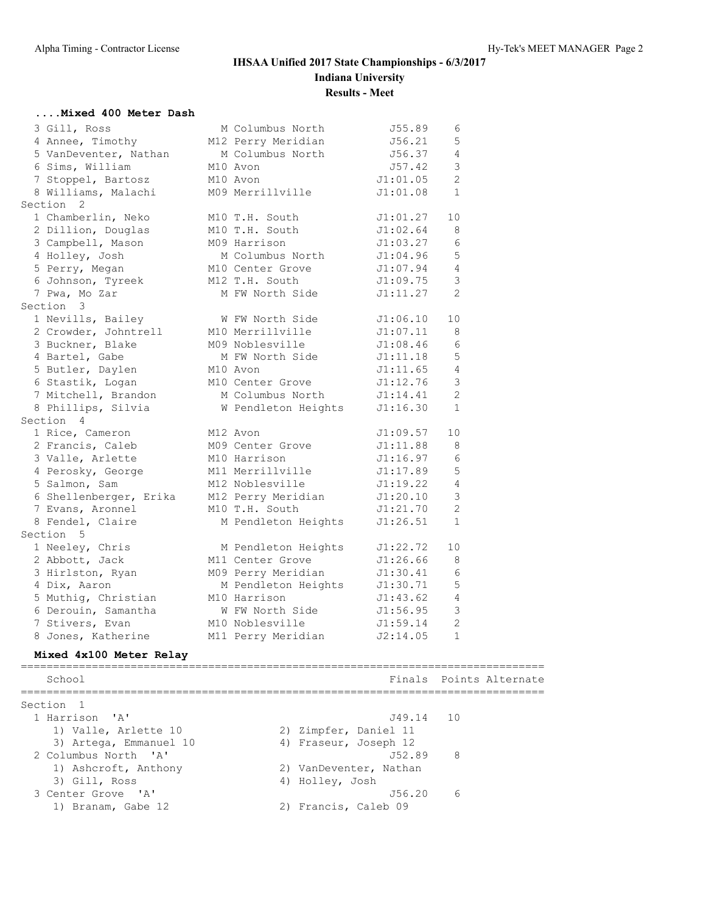#### **....Mixed 400 Meter Dash**

| 3 Gill, Ross           | M Columbus North    | J55.89   | 6              |  |
|------------------------|---------------------|----------|----------------|--|
| 4 Annee, Timothy       | M12 Perry Meridian  | J56.21   | 5              |  |
| 5 VanDeventer, Nathan  | M Columbus North    | J56.37   | 4              |  |
| 6 Sims, William        | M10 Avon            | J57.42   | 3              |  |
| 7 Stoppel, Bartosz     | M10 Avon            | J1:01.05 | $\overline{c}$ |  |
| 8 Williams, Malachi    | M09 Merrillville    | J1:01.08 | $\mathbf{1}$   |  |
| Section 2              |                     |          |                |  |
| 1 Chamberlin, Neko     | M10 T.H. South      | J1:01.27 | 10             |  |
| 2 Dillion, Douglas     | M10 T.H. South      | J1:02.64 | 8              |  |
| 3 Campbell, Mason      | M09 Harrison        | J1:03.27 | 6              |  |
| 4 Holley, Josh         | M Columbus North    | J1:04.96 | 5              |  |
| 5 Perry, Megan         | M10 Center Grove    | J1:07.94 | $\overline{4}$ |  |
| 6 Johnson, Tyreek      | M12 T.H. South      | J1:09.75 | 3              |  |
| 7 Pwa, Mo Zar          | M FW North Side     | J1:11.27 | $\overline{2}$ |  |
| Section 3              |                     |          |                |  |
| 1 Nevills, Bailey      | W FW North Side     | J1:06.10 | 10             |  |
| 2 Crowder, Johntrell   | M10 Merrillville    | J1:07.11 | 8              |  |
| 3 Buckner, Blake       | M09 Noblesville     | J1:08.46 | 6              |  |
| 4 Bartel, Gabe         | M FW North Side     | J1:11.18 | 5              |  |
| 5 Butler, Daylen       | M10 Avon            | J1:11.65 | 4              |  |
| 6 Stastik, Logan       | M10 Center Grove    | J1:12.76 | 3              |  |
| 7 Mitchell, Brandon    | M Columbus North    | J1:14.41 | $\overline{2}$ |  |
| 8 Phillips, Silvia     | W Pendleton Heights | J1:16.30 | $\mathbf{1}$   |  |
| Section 4              |                     |          |                |  |
| 1 Rice, Cameron        | M12 Avon            | J1:09.57 | 10             |  |
| 2 Francis, Caleb       | M09 Center Grove    | J1:11.88 | 8              |  |
| 3 Valle, Arlette       | M10 Harrison        | J1:16.97 | 6              |  |
| 4 Perosky, George      | M11 Merrillville    | J1:17.89 | 5              |  |
| 5 Salmon, Sam          | M12 Noblesville     | J1:19.22 | $\overline{4}$ |  |
| 6 Shellenberger, Erika | M12 Perry Meridian  | J1:20.10 | 3              |  |
| 7 Evans, Aronnel       | M10 T.H. South      | J1:21.70 | $\overline{2}$ |  |
| 8 Fendel, Claire       | M Pendleton Heights | J1:26.51 | $\mathbf{1}$   |  |
| Section 5              |                     |          |                |  |
| 1 Neeley, Chris        | M Pendleton Heights | J1:22.72 | 10             |  |
| 2 Abbott, Jack         | M11 Center Grove    | J1:26.66 | 8              |  |
| 3 Hirlston, Ryan       | M09 Perry Meridian  | J1:30.41 | $\epsilon$     |  |
| 4 Dix, Aaron           | M Pendleton Heights | J1:30.71 | 5              |  |
| 5 Muthiq, Christian    | M10 Harrison        | J1:43.62 | 4              |  |
| 6 Derouin, Samantha    | W FW North Side     | J1:56.95 | 3              |  |
| 7 Stivers, Evan        | M10 Noblesville     | J1:59.14 | $\overline{c}$ |  |
| 8 Jones, Katherine     | M11 Perry Meridian  | J2:14.05 | $\mathbf{1}$   |  |

### **Mixed 4x100 Meter Relay**

================================================================================= School **Finals** Points Alternate ================================================================================= Section 1<br>1 Harrison 'A' 1 Harrison 'A' J49.14 10 1) Valle, Arlette 10 2) Zimpfer, Daniel 11 3) Artega, Emmanuel 10 4) Fraseur, Joseph 12 2 Columbus North 'A' J52.89 8 1) Ashcroft, Anthony 12) VanDeventer, Nathan 3) Gill, Ross (4) Holley, Josh 3 Center Grove 'A' J56.20 6 1) Branam, Gabe 12 2) Francis, Caleb 09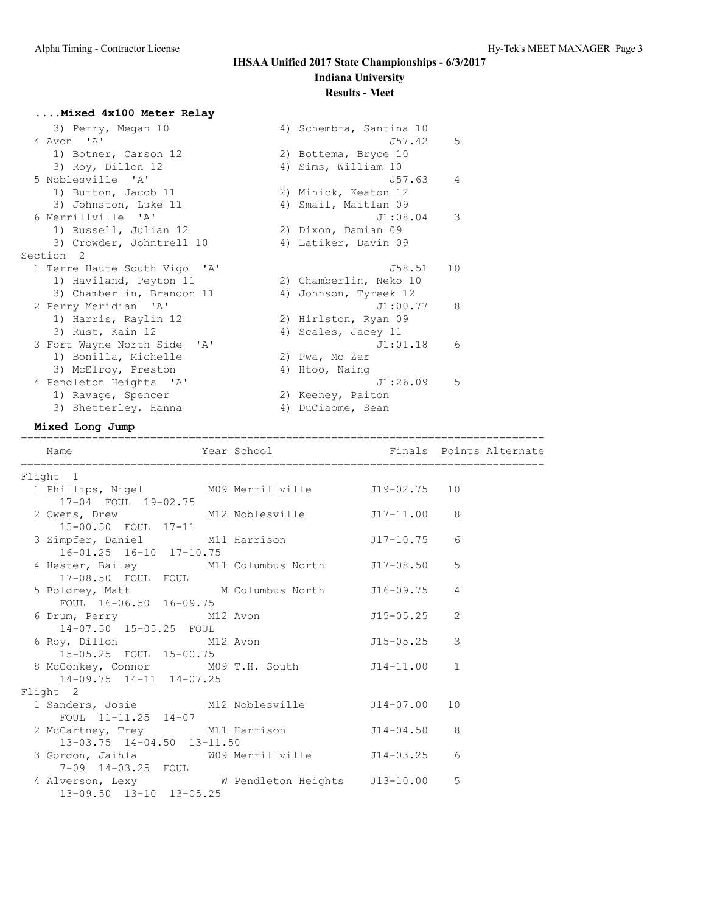# **....Mixed 4x100 Meter Relay**

| 3) Perry, Megan 10                       | 4) Schembra, Santina 10 |                |
|------------------------------------------|-------------------------|----------------|
| 4 Avon 'A'                               | J57.42                  | 5              |
| 1) Botner, Carson 12                     | 2) Bottema, Bryce 10    |                |
| 3) Roy, Dillon 12                        | 4) Sims, William 10     |                |
| 5 Noblesville 'A'                        | J57.63                  | $\overline{4}$ |
| 1) Burton, Jacob 11                      | 2) Minick, Keaton 12    |                |
| 3) Johnston, Luke 11                     | 4) Smail, Maitlan 09    |                |
| 6 Merrillville 'A'                       | J1:08.04                | 3              |
| 1) Russell, Julian 12                    | 2) Dixon, Damian 09     |                |
| 3) Crowder, Johntrell 10                 | 4) Latiker, Davin 09    |                |
| Section 2                                |                         |                |
| 1 Terre Haute South Vigo<br>$\mathsf{A}$ | J58.51                  | 10             |
| 1) Haviland, Peyton 11                   | 2) Chamberlin, Neko 10  |                |
| 3) Chamberlin, Brandon 11                | 4) Johnson, Tyreek 12   |                |
| 2 Perry Meridian 'A'                     | J1:00.77                | 8              |
| 1) Harris, Raylin 12                     | 2) Hirlston, Ryan 09    |                |
| 3) Rust, Kain 12                         | 4) Scales, Jacey 11     |                |
| 3 Fort Wayne North Side 'A'              | J1:01.18                | 6              |
| 1) Bonilla, Michelle                     | 2) Pwa, Mo Zar          |                |
| 3) McElroy, Preston                      | 4) Htoo, Nainq          |                |
| 4 Pendleton Heights 'A'                  | J1:26.09                | 5              |
| 1) Ravage, Spencer                       | 2) Keeney, Paiton       |                |
| 3) Shetterley, Hanna                     | 4) DuCiaome, Sean       |                |

## **Mixed Long Jump**

| Name                                                                      | Year School <b>Example 18</b> Finals Points Alternate |                 |                |
|---------------------------------------------------------------------------|-------------------------------------------------------|-----------------|----------------|
| Flight 1                                                                  |                                                       |                 |                |
| 1 Phillips, Nigel M09 Merrillville J19-02.75 10<br>17-04 FOUL 19-02.75    |                                                       |                 |                |
| 2 Owens, Drew M12 Noblesville J17-11.00 8<br>15-00.50 FOUL 17-11          |                                                       |                 |                |
| 3 Zimpfer, Daniel M11 Harrison<br>16-01.25 16-10 17-10.75                 |                                                       | $J17-10.75$ 6   |                |
| 4 Hester, Bailey M11 Columbus North J17-08.50<br>17-08.50 FOUL FOUL       |                                                       |                 | 5              |
| 5 Boldrey, Matt M Columbus North<br>FOUL 16-06.50 16-09.75                |                                                       | J16-09.75       | $\overline{4}$ |
| 6 Drum, Perry M12 Avon<br>14-07.50 15-05.25 FOUL                          |                                                       | $J15 - 05.25$ 2 |                |
| 6 Roy, Dillon M12 Avon<br>15-05.25 FOUL 15-00.75                          |                                                       | J15-05.25       | 3              |
| 8 McConkey, Connor M09 T.H. South J14-11.00<br>14-09.75 14-11 14-07.25    |                                                       |                 | $\mathbf{1}$   |
| Flight 2                                                                  |                                                       |                 |                |
| 1 Sanders, Josie M12 Noblesville J14-07.00 10<br>FOUL $11-11.25$ $14-07$  |                                                       |                 |                |
| 2 McCartney, Trey M11 Harrison 514-04.50 8<br>13-03.75 14-04.50 13-11.50  |                                                       |                 |                |
| 3 Gordon, Jaihla M09 Merrillville J14-03.25<br>7-09 14-03.25 FOUL         |                                                       |                 | 6              |
| 4 Alverson, Lexy W Pendleton Heights 513-10.00<br>13-09.50 13-10 13-05.25 |                                                       |                 | 5              |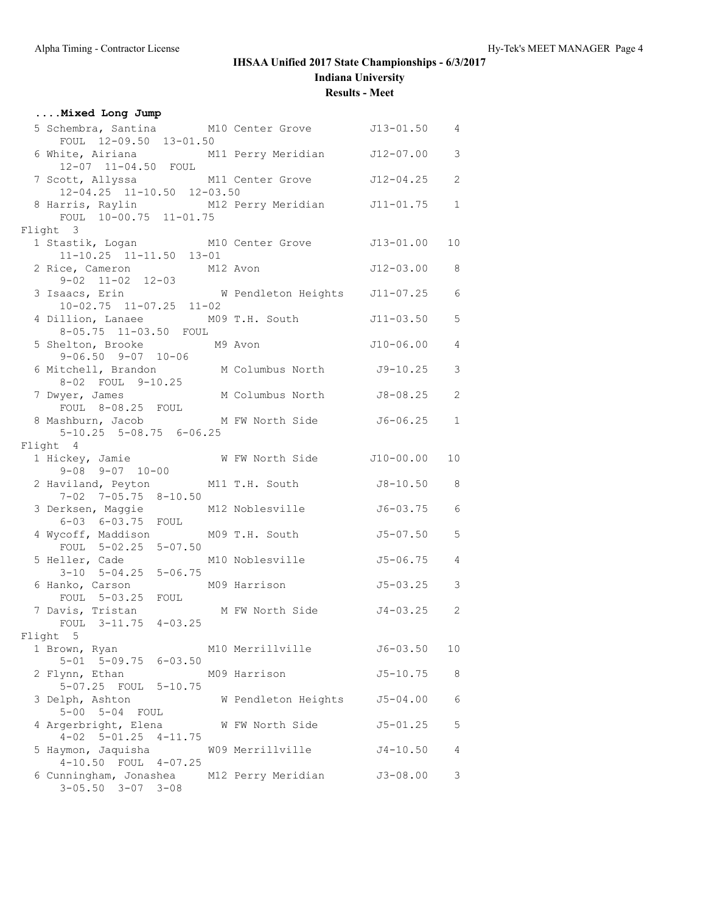**Results - Meet**

| Mixed Long Jump                                                                                             |                     |                |                         |
|-------------------------------------------------------------------------------------------------------------|---------------------|----------------|-------------------------|
| 5 Schembra, Santina M10 Center Grove 513-01.50 4<br>FOUL 12-09.50 13-01.50                                  |                     |                |                         |
| 6 White, Airiana M11 Perry Meridian J12-07.00<br>$12-07$ $11-04.50$ FOUL                                    |                     |                | $\mathcal{S}$           |
| 7 Scott, Allyssa M11 Center Grove J12-04.25<br>12-04.25 11-10.50 12-03.50                                   |                     |                | 2                       |
| 8 Harris, Raylin M12 Perry Meridian J11-01.75<br>FOUL 10-00.75 11-01.75                                     |                     |                | $\mathbf{1}$            |
| Flight 3                                                                                                    |                     |                |                         |
| 1 Stastik, Logan M10 Center Grove J13-01.00<br>$11-10.25$ $11-11.50$ $13-01$                                |                     |                | 10 <sup>°</sup>         |
| 2 Rice, Cameron M12 Avon                                                                                    |                     | $J12-03.00$ 8  |                         |
| 9-02 11-02 12-03<br>3 Isaacs, Erin M Pendleton Heights 311-07.25 6<br>$10-02.75$ $11-07.25$ $11-02$         |                     |                |                         |
| 4 Dillion, Lanaee M09 T.H. South 5 J11-03.50 5<br>8-05.75 11-03.50 FOUL                                     |                     |                |                         |
| 5 Shelton, Brooke M9 Avon<br>$9 - 06.50$ $9 - 07$ $10 - 06$                                                 |                     | $J10-06.00 4$  |                         |
| 6 Mitchell, Brandon M Columbus North J9-10.25<br>8-02 FOUL 9-10.25                                          |                     |                | 3                       |
| 7 Dwyer, James<br>FOUL 8-08.25 FOUL                                                                         | M Columbus North    | J8-08.25       | $\mathbf{2}$            |
| 8 Mashburn, Jacob<br>$5 - 10.25$ $5 - 08.75$ $6 - 06.25$                                                    | M FW North Side     | J6-06.25       | $\mathbf{1}$            |
| Flight 4                                                                                                    |                     |                |                         |
| $9 - 08$ $9 - 07$ $10 - 00$                                                                                 |                     |                | 10                      |
| 2 Haviland, Peyton M11 T.H. South J8-10.50 8<br>$7-02$ $7-05.75$ $8-10.50$                                  |                     |                |                         |
| 3 Derksen, Maggie M12 Noblesville<br>$6-03$ $6-03.75$ FOUL                                                  |                     | $J6 - 03.75$ 6 |                         |
| 4 Wycoff, Maddison<br>FOUL 5-02.25 5-07.50                                                                  | MO9 T.H. South      | $J5 - 07.50$   | 5                       |
| 5 Heller, Cade 1<br>3-10 5-04.25 5-06.75                                                                    | M10 Noblesville     | $J5 - 06.75$   | $\overline{4}$          |
| 6 Hanko, Carson                                                                                             | M09 Harrison        | $J5 - 03.25$   | $\overline{\mathbf{3}}$ |
| FOUL 5-03.25 FOUL<br>FOUL 5-03.25 FOUL<br>North Side 54-03.25 2<br>7 Davis, Tristan<br>FOUL 3-11.75 4-03.25 |                     |                |                         |
| Flight 5                                                                                                    |                     |                |                         |
| 1 Brown, Ryan<br>$5-01$ $5-09.75$ $6-03.50$                                                                 | M10 Merrillville    | $J6 - 03.50$   | 10 <sub>o</sub>         |
| 2 Flynn, Ethan<br>5-07.25 FOUL 5-10.75                                                                      | M09 Harrison        | $J5 - 10.75$   | 8                       |
| 3 Delph, Ashton<br>5-00 5-04 FOUL                                                                           | W Pendleton Heights | $J5 - 04.00$   | 6                       |
| 4 Argerbright, Elena<br>$4-02$ $5-01.25$ $4-11.75$                                                          | W FW North Side     | $J5 - 01.25$   | 5                       |
| 5 Haymon, Jaquisha 609 Merrillville<br>$4-10.50$ FOUL $4-07.25$                                             |                     | $J4 - 10.50$   | 4                       |
| 6 Cunningham, Jonashea M12 Perry Meridian<br>$3 - 05.50$ $3 - 07$ $3 - 08$                                  |                     | $J3 - 08.00$   | 3                       |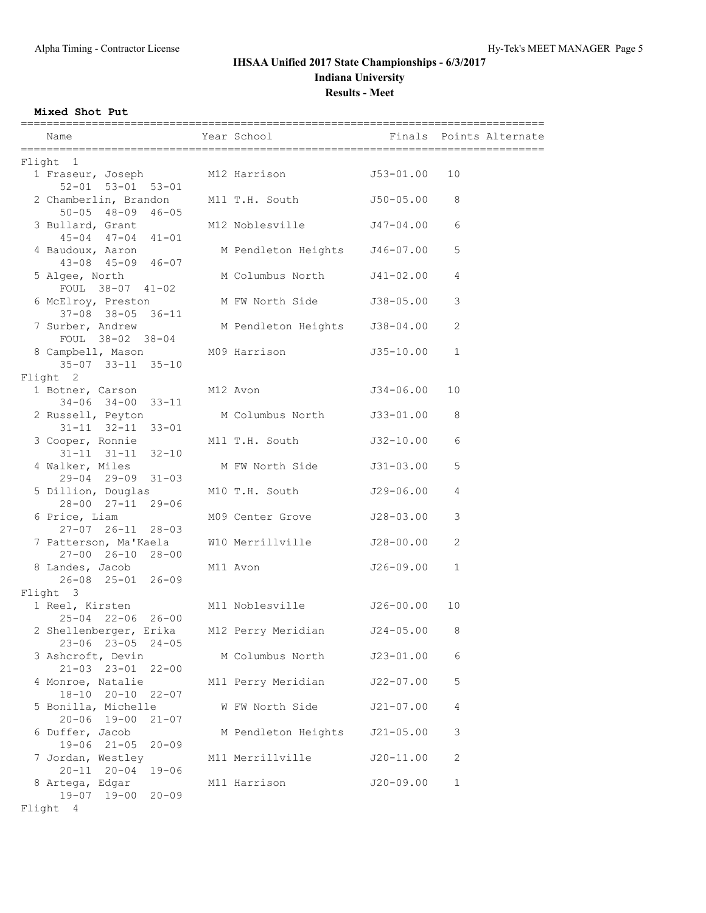**Mixed Shot Put**

| Name                                                                            | Year School <a> Finals<br/> Points Alternate</a> |               |              |
|---------------------------------------------------------------------------------|--------------------------------------------------|---------------|--------------|
| Flight 1                                                                        |                                                  |               |              |
| 1 Fraseur, Joseph M12 Harrison 553-01.00 10<br>$52 - 01$ $53 - 01$ $53 - 01$    |                                                  |               |              |
| 2 Chamberlin, Brandon M11 T.H. South<br>$50 - 05$ $48 - 09$ $46 - 05$           |                                                  | J50-05.00     | 8            |
| 3 Bullard, Grant<br>$45 - 04$ $47 - 04$ $41 - 01$                               | M12 Noblesville 547-04.00                        |               | 6            |
| 4 Baudoux, Aaron<br>43-08 45-09 46-07                                           | M Pendleton Heights J46-07.00                    |               | 5            |
| 5 Algee, North<br>FOUL 38-07 41-02                                              | M Columbus North                                 | J41-02.00     | 4            |
| 6 McElroy, Preston M FW North Side<br>37-08 38-05 36-11                         |                                                  | J38-05.00     | 3            |
| 7 Surber, Andrew<br>FOUL 38-02 38-04                                            | M Pendleton Heights                              | J38-04.00     | 2            |
| 8 Campbell, Mason M09 Harrison<br>$35 - 07$ $33 - 11$ $35 - 10$                 |                                                  | J35-10.00     | $\mathbf{1}$ |
| Flight 2<br>1 Botner, Carson M12 Avon M12 1916 M12 Avon                         |                                                  |               | 10           |
| $34-06$ $34-00$ $33-11$                                                         |                                                  |               |              |
| 2 Russell, Peyton<br>$31 - 11$ $32 - 11$ $33 - 01$                              | M Columbus North                                 | J33-01.00     | 8            |
| 3 Cooper, Ronnie M11 T.H. South<br>$31 - 11$ $31 - 11$ $32 - 10$                |                                                  | J32-10.00     | 6            |
| 4 Walker, Miles<br>29-04 29-09 31-03                                            | M FW North Side                                  | J31-03.00     | 5            |
| 5 Dillion, Douglas M10 T.H. South<br>28-00 27-11 29-06                          |                                                  | J29-06.00     | 4            |
| 6 Price, Liam<br>27-07 26-11 28-03                                              | M09 Center Grove                                 | J28-03.00     | 3            |
| 7 Patterson, Ma'Kaela M10 Merrillville<br>27-00 26-10 28-00                     |                                                  | J28-00.00     | 2            |
| 8 Landes, Jacob<br>26-08 25-01 26-09                                            | M11 Avon                                         | J26-09.00     | $\mathbf{1}$ |
| Flight 3                                                                        |                                                  |               |              |
| 1 Reel, Kirsten M11 Noblesville<br>$25 - 04$ $22 - 06$ $26 - 00$                |                                                  | J26-00.00     | 10           |
| 2 Shellenberger, Erika M12 Perry Meridian<br>$23 - 06$ $23 - 05$<br>$24 - 05$   |                                                  | $J24 - 05.00$ | 8            |
| 3 Ashcroft, Devin<br>$21 - 03$ $23 - 01$<br>$22 - 00$                           | M Columbus North                                 | $J23 - 01.00$ | 6            |
| 4 Monroe, Natalie<br>$18 - 10$ $20 - 10$<br>$22 - 07$                           | M11 Perry Meridian                               | $J22 - 07.00$ | 5            |
| 5 Bonilla, Michelle<br>$20 - 06$ 19-00<br>$21 - 07$                             | W FW North Side                                  | $J21 - 07.00$ | 4            |
| 6 Duffer, Jacob<br>$19 - 06$ $21 - 05$<br>$20 - 09$                             | M Pendleton Heights                              | $J21 - 05.00$ | 3            |
| 7 Jordan, Westley                                                               | M11 Merrillville                                 | $J20 - 11.00$ | 2            |
| $20 - 11$ $20 - 04$<br>$19 - 06$<br>8 Artega, Edgar<br>19-07 19-00<br>$20 - 09$ | M11 Harrison                                     | $J20 - 09.00$ | $\mathbf 1$  |

Flight 4